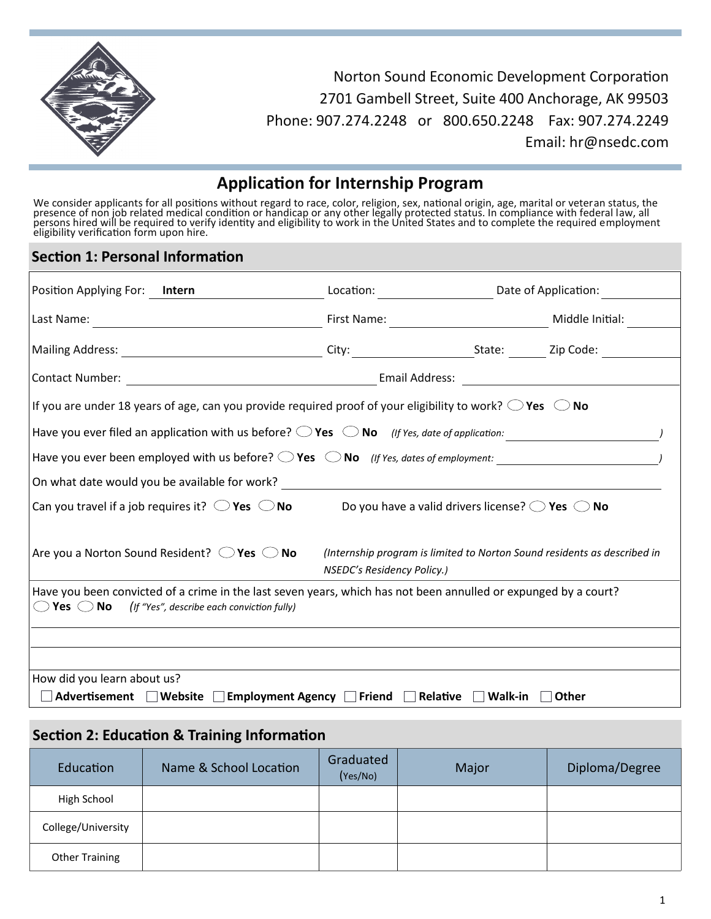

Norton Sound Economic Development Corporation 2701 Gambell Street, Suite 400 Anchorage, AK 99503 Phone: 907.274.2248 or 800.650.2248 Fax: 907.274.2249 Email: hr@nsedc.com

## **Application for Internship Program**

We consider applicants for all positions without regard to race, color, religion, sex, national origin, age, marital or veteran status, the presence of non job related medical condition or handicap or any other legally protected status. In compliance with federal law, all persons hired will be required to verify identity and eligibility to work in the United States and to complete the required employment<br>eligibility verification form upon hire.

### **Section 1: Personal Information**

| Position Applying For:<br>Intern                                                                                                                                                           |                            |                                                                          |                 |  |  |  |
|--------------------------------------------------------------------------------------------------------------------------------------------------------------------------------------------|----------------------------|--------------------------------------------------------------------------|-----------------|--|--|--|
|                                                                                                                                                                                            |                            |                                                                          | Middle Initial: |  |  |  |
|                                                                                                                                                                                            |                            |                                                                          |                 |  |  |  |
|                                                                                                                                                                                            |                            |                                                                          |                 |  |  |  |
| If you are under 18 years of age, can you provide required proof of your eligibility to work? $\bigcirc$ Yes $\bigcirc$ No                                                                 |                            |                                                                          |                 |  |  |  |
|                                                                                                                                                                                            |                            |                                                                          |                 |  |  |  |
|                                                                                                                                                                                            |                            |                                                                          |                 |  |  |  |
|                                                                                                                                                                                            |                            |                                                                          |                 |  |  |  |
| Can you travel if a job requires it? $\bigcirc$ Yes $\bigcirc$ No<br>Do you have a valid drivers license? $\bigcirc$ Yes $\bigcirc$ No                                                     |                            |                                                                          |                 |  |  |  |
| Are you a Norton Sound Resident? $\bigcirc$ Yes $\bigcirc$ No                                                                                                                              | NSEDC's Residency Policy.) | (Internship program is limited to Norton Sound residents as described in |                 |  |  |  |
| Have you been convicted of a crime in the last seven years, which has not been annulled or expunged by a court?<br>$\bigcirc$ Yes $\bigcirc$ No (If "Yes", describe each conviction fully) |                            |                                                                          |                 |  |  |  |
|                                                                                                                                                                                            |                            |                                                                          |                 |  |  |  |
|                                                                                                                                                                                            |                            |                                                                          |                 |  |  |  |
| How did you learn about us?                                                                                                                                                                |                            |                                                                          |                 |  |  |  |
| Advertisement Website<br>Employment Agency $\Box$ Friend $\Box$ Relative<br>Walk-in<br><b>Other</b>                                                                                        |                            |                                                                          |                 |  |  |  |

### **Section 2: Education & Training Information**

| Education             | Name & School Location | Graduated<br>(Yes/No) | Major | Diploma/Degree |
|-----------------------|------------------------|-----------------------|-------|----------------|
| High School           |                        |                       |       |                |
| College/University    |                        |                       |       |                |
| <b>Other Training</b> |                        |                       |       |                |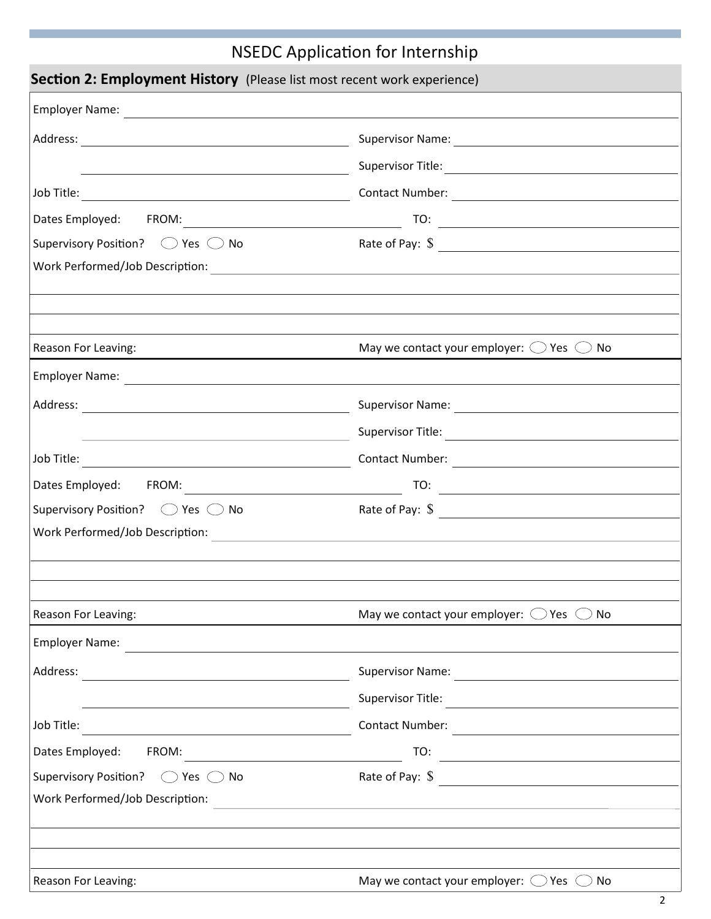# NSEDC Application for Internship

| <b>Section 2: Employment History</b> (Please list most recent work experience)                                        |                                                                                                                                           |  |  |  |  |
|-----------------------------------------------------------------------------------------------------------------------|-------------------------------------------------------------------------------------------------------------------------------------------|--|--|--|--|
|                                                                                                                       |                                                                                                                                           |  |  |  |  |
|                                                                                                                       |                                                                                                                                           |  |  |  |  |
| the control of the control of the control of the control of the control of the control of                             |                                                                                                                                           |  |  |  |  |
|                                                                                                                       |                                                                                                                                           |  |  |  |  |
|                                                                                                                       |                                                                                                                                           |  |  |  |  |
| Supervisory Position? $\bigcirc$ Yes $\bigcirc$ No                                                                    | Rate of Pay: $\sqrt{s}$                                                                                                                   |  |  |  |  |
|                                                                                                                       |                                                                                                                                           |  |  |  |  |
|                                                                                                                       |                                                                                                                                           |  |  |  |  |
|                                                                                                                       |                                                                                                                                           |  |  |  |  |
| Reason For Leaving:                                                                                                   | May we contact your employer: $\bigcirc$ Yes $\bigcirc$ No                                                                                |  |  |  |  |
|                                                                                                                       |                                                                                                                                           |  |  |  |  |
|                                                                                                                       |                                                                                                                                           |  |  |  |  |
| <u> 1989 - Johann Barbara, martin da basar da basar da basar da basar da basar da basar da basar da basar da basa</u> |                                                                                                                                           |  |  |  |  |
|                                                                                                                       |                                                                                                                                           |  |  |  |  |
|                                                                                                                       |                                                                                                                                           |  |  |  |  |
| Supervisory Position? ◯ Yes ◯ No                                                                                      | Rate of Pay: \$                                                                                                                           |  |  |  |  |
|                                                                                                                       |                                                                                                                                           |  |  |  |  |
|                                                                                                                       |                                                                                                                                           |  |  |  |  |
|                                                                                                                       |                                                                                                                                           |  |  |  |  |
| Reason For Leaving:                                                                                                   | May we contact your employer: $\bigcirc$ Yes $\bigcirc$<br>No.                                                                            |  |  |  |  |
| <b>Employer Name:</b>                                                                                                 |                                                                                                                                           |  |  |  |  |
| Address:                                                                                                              | <b>Supervisor Name:</b>                                                                                                                   |  |  |  |  |
|                                                                                                                       | Supervisor Title:<br><u> 1980 - Jan Stein Stein Stein Stein Stein Stein Stein Stein Stein Stein Stein Stein Stein Stein Stein Stein S</u> |  |  |  |  |
| Job Title:                                                                                                            | Contact Number:                                                                                                                           |  |  |  |  |
| Dates Employed:<br>FROM:                                                                                              | TO:                                                                                                                                       |  |  |  |  |
| <b>Supervisory Position?</b><br>$\bigcirc$ Yes $\bigcirc$ No                                                          | <u> 1980 - Andrea Station, amerikansk politik (</u><br>Rate of Pay: \$                                                                    |  |  |  |  |
| Work Performed/Job Description:                                                                                       |                                                                                                                                           |  |  |  |  |
|                                                                                                                       |                                                                                                                                           |  |  |  |  |
|                                                                                                                       |                                                                                                                                           |  |  |  |  |
| Reason For Leaving:                                                                                                   | May we contact your employer: $\bigcirc$ Yes $\bigcirc$<br>No                                                                             |  |  |  |  |